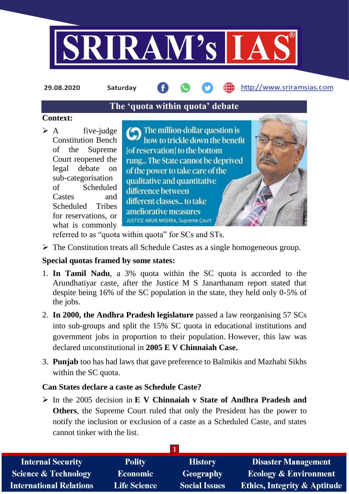

**29.08.2020 Saturday**

# http://www.sriramsias.com

# **The 'quota within quota' debate**

### **Context:**

 $\triangleright$  A five-judge Constitution Bench of the Supreme Court reopened the legal debate on sub-categorisation of Scheduled Castes and Scheduled Tribes for reservations, or what is commonly

The million-dollar question is how to trickle down the benefit [of reservation] to the bottom rung... The State cannot be deprived of the power to take care of the qualitative and quantitative difference between different classes... to take ameliorative measures JUSTICE ARUN MISHRA, Supreme Court

referred to as "quota within quota" for SCs and STs.

 $\triangleright$  The Constitution treats all Schedule Castes as a single homogeneous group.

# **Special quotas framed by some states:**

- 1. **In Tamil Nadu**, a 3% quota within the SC quota is accorded to the Arundhatiyar caste, after the Justice M S Janarthanam report stated that despite being 16% of the SC population in the state, they held only 0-5% of the jobs.
- 2. **In 2000, the Andhra Pradesh legislature** passed a law reorganising 57 SCs into sub-groups and split the 15% SC quota in educational institutions and government jobs in proportion to their population. However, this law was declared unconstitutional in **2005 E V Chinnaiah Case.**
- 3. **Punjab** too has had laws that gave preference to Balmikis and Mazhabi Sikhs within the SC quota.

## **Can States declare a caste as Schedule Caste?**

 In the 2005 decision in **E V Chinnaiah v State of Andhra Pradesh and Others**, the Supreme Court ruled that only the President has the power to notify the inclusion or exclusion of a caste as a Scheduled Caste, and states cannot tinker with the list.

| <b>Internal Security</b>        | <b>Polity</b>       | <b>History</b>       | <b>Disaster Management</b>              |
|---------------------------------|---------------------|----------------------|-----------------------------------------|
| <b>Science &amp; Technology</b> | <b>Economic</b>     | Geography            | <b>Ecology &amp; Environment</b>        |
| <b>International Relations</b>  | <b>Life Science</b> | <b>Social Issues</b> | <b>Ethics, Integrity &amp; Aptitude</b> |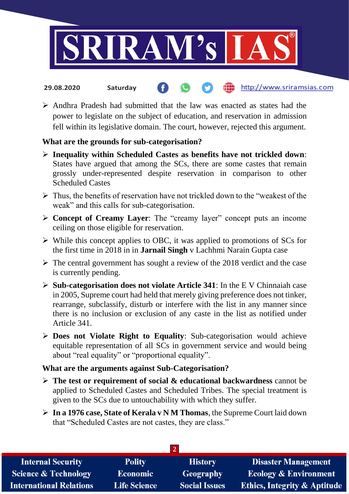

#### the http://www.sriramsias.com **29.08.2020 Saturday**

 $\triangleright$  Andhra Pradesh had submitted that the law was enacted as states had the power to legislate on the subject of education, and reservation in admission fell within its legislative domain. The court, however, rejected this argument.

## **What are the grounds for sub-categorisation?**

- **Inequality within Scheduled Castes as benefits have not trickled down**: States have argued that among the SCs, there are some castes that remain grossly under-represented despite reservation in comparison to other Scheduled Castes
- $\triangleright$  Thus, the benefits of reservation have not trickled down to the "weakest of the weak" and this calls for sub-categorisation.
- **Concept of Creamy Layer**: The "creamy layer" concept puts an income ceiling on those eligible for reservation.
- $\triangleright$  While this concept applies to OBC, it was applied to promotions of SCs for the first time in 2018 in in **Jarnail Singh** v Lachhmi Narain Gupta case
- $\triangleright$  The central government has sought a review of the 2018 verdict and the case is currently pending.
- **Sub-categorisation does not violate Article 341**: In the E V Chinnaiah case in 2005, Supreme court had held that merely giving preference does not tinker, rearrange, subclassify, disturb or interfere with the list in any manner since there is no inclusion or exclusion of any caste in the list as notified under Article 341.
- **Does not Violate Right to Equality**: Sub-categorisation would achieve equitable representation of all SCs in government service and would being about "real equality" or "proportional equality".

#### **What are the arguments against Sub-Categorisation?**

- **The test or requirement of social & educational backwardness** cannot be applied to Scheduled Castes and Scheduled Tribes. The special treatment is given to the SCs due to untouchability with which they suffer.
- **In a 1976 case, State of Kerala v N M Thomas**, the Supreme Court laid down that "Scheduled Castes are not castes, they are class."

| <b>Internal Security</b>        | <b>Polity</b>       | <b>History</b>       | <b>Disaster Management</b>              |  |  |  |
|---------------------------------|---------------------|----------------------|-----------------------------------------|--|--|--|
| <b>Science &amp; Technology</b> | Economic            | Geography            | <b>Ecology &amp; Environment</b>        |  |  |  |
| <b>International Relations</b>  | <b>Life Science</b> | <b>Social Issues</b> | <b>Ethics, Integrity &amp; Aptitude</b> |  |  |  |